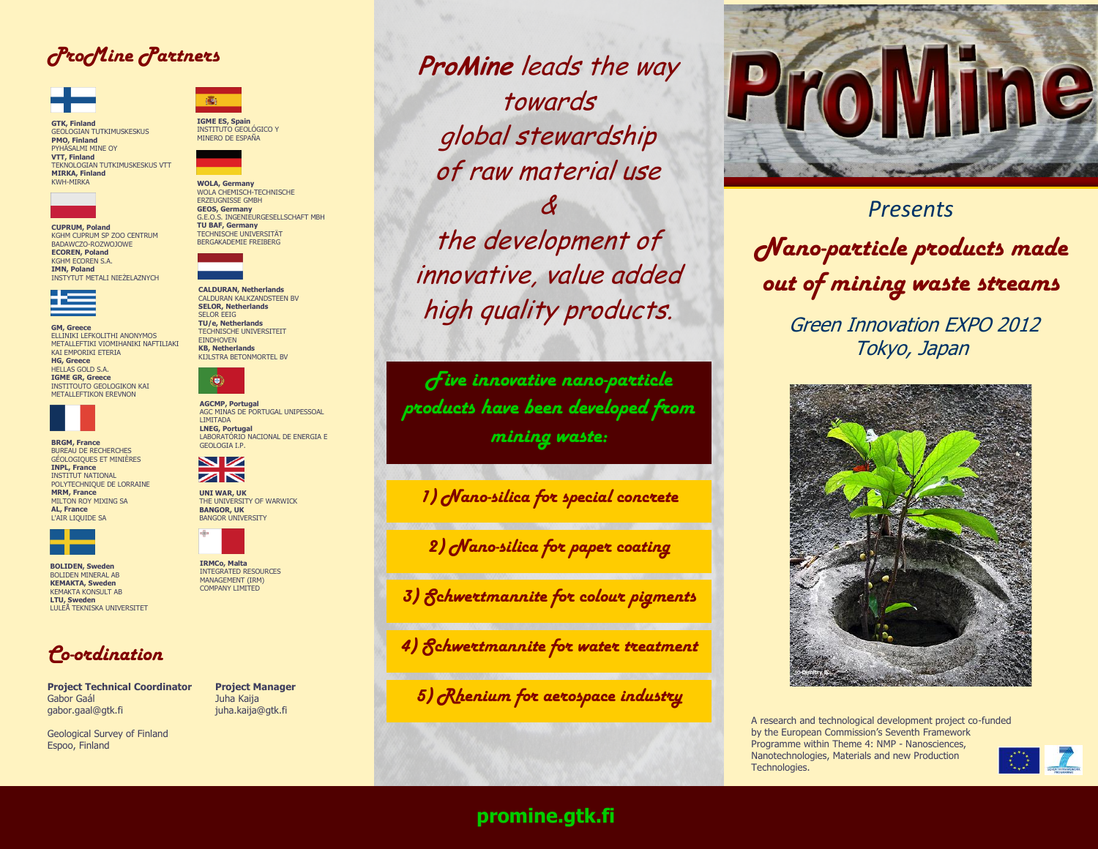## *ProMine Partners*



**GTK, Finland** GEOLOGIAN TUTKIMUSKESKUS **PMO, Finland** PYHÄSALMI MINE OY **VTT, Finland** TEKNOLOGIAN TUTKIMUSKESKUS VTT **MIRKA, Finland** KWH-MIRKA



KGHM CUPRUM SP ZOO CENTRUM BADAWCZO-ROZWOJOWE **ECOREN, Poland** KGHM ECOREN S.A. **IMN, Poland** INSTYTUT METALI NIEŻELAZNYCH



**GM, Greece** ELLINIKI LEFKOLITHI ANONYMOS METALLEFTIKI VIOMIHANIKI NAFTILIAKI KAI EMPORIKI ETERIA **HG, Greece** HELLAS GOLD S.A. **IGME GR, Greece** INSTITOUTO GEOLOGIKON KAI METALLEFTIKON EREVNON



**BRGM, France** BUREAU DE RECHERCHES GÉOLOGIQUES ET MINIÈRES **INPL, France** INSTITUT NATIONAL POLYTECHNIQUE DE LORRAINE **MRM, France**  MILTON ROY MIXING SA **AL, France** L'AIR LIQUIDE SA



**BOLIDEN, Sweden** BOLIDEN MINERAL AB **KEMAKTA, Sweden** KEMAKTA KONSULT AB **LTU, Sweden** LULEÅ TEKNISKA UNIVERSITET



**Project Technical Coordinator Project Manager** Gabor Gaál **Juha Kaija** gabor.gaal@gtk.fi juha.kaija@gtk.fi

Geological Survey of Finland Espoo, Finland



**IGME ES, Spain** INSTITUTO GEOLÓGICO Y MINERO DE ESPAÑA

**WOLA, Germany** WOLA CHEMISCH-TECHNISCHE ERZEUGNISSE GMBH **GEOS, Germany** G.E.O.S. INGENIEURGESELLSCHAFT MBH **TU BAF, Germany** TECHNISCHE UNIVERSITÄT BERGAKADEMIE FREIBERG



**CALDURAN, Netherlands** CALDURAN KALKZANDSTEEN BV **SELOR, Netherlands** SELOR EEIG

**TU/e, Netherlands** TECHNISCHE UNIVERSITEIT **EINDHOVEN KB, Netherlands** KIJLSTRA BETONMORTEL BV



**AGCMP, Portugal** AGC MINAS DE PORTUGAL UNIPESSOAL LIMITADA **LNEG, Portugal** LABORATÓRIO NACIONAL DE ENERGIA E GEOLOGIA I.P.



**UNI WAR, UK** THE UNIVERSITY OF WARWICK **BANGOR, UK** BANGOR UNIVERSITY



**IRMCo, Malta** INTEGRATED RESOURCES MANAGEMENT (IRM) COMPANY LIMITED

**ProMine** leads the way towards global stewardship of raw material use

& the development of innovative, value added high quality products.

*Five innovative nano-particle products have been developed from mining waste:*

*1) Nano-silica for special concrete*

*2) Nano-silica for paper coating*

*3) Schwertmannite for colour pigments*

*4) Schwertmannite for water treatment*

*5) Rhenium for aerospace industry*



*Presents Nano-particle products made out of mining waste streams*

> Green Innovation EXPO 2012 Tokyo, Japan



A research and technological development project co-funded by the European Commission's Seventh Framework Programme within Theme 4: NMP - Nanosciences, Nanotechnologies, Materials and new Production Technologies.



### **promine.gtk.fi**